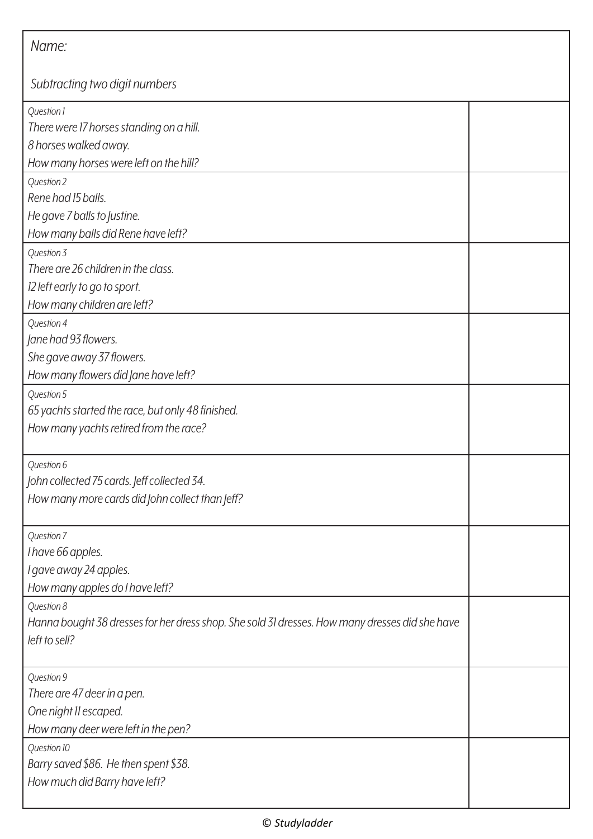| Name:                                                                                                                         |  |
|-------------------------------------------------------------------------------------------------------------------------------|--|
| Subtracting two digit numbers                                                                                                 |  |
| Question 1<br>There were 17 horses standing on a hill.<br>8 horses walked away.<br>How many horses were left on the hill?     |  |
| Question 2<br>Rene had 15 balls.<br>He gave 7 balls to Justine.<br>How many balls did Rene have left?                         |  |
| Question 3<br>There are 26 children in the class.<br>12 left early to go to sport.<br>How many children are left?             |  |
| Question 4<br>Jane had 93 flowers.<br>She gave away 37 flowers.<br>How many flowers did Jane have left?                       |  |
| Question 5<br>65 yachts started the race, but only 48 finished.<br>How many yachts retired from the race?                     |  |
| Question 6<br>John collected 75 cards. Jeff collected 34.<br>How many more cards did John collect than Jeff?                  |  |
| Question 7<br>I have 66 apples.<br>I gave away 24 apples.<br>How many apples do I have left?                                  |  |
| Question 8<br>Hanna bought 38 dresses for her dress shop. She sold 31 dresses. How many dresses did she have<br>left to sell? |  |
| Question 9<br>There are 47 deer in a pen.<br>One night II escaped.<br>How many deer were left in the pen?                     |  |
| Question 10<br>Barry saved \$86. He then spent \$38.<br>How much did Barry have left?                                         |  |